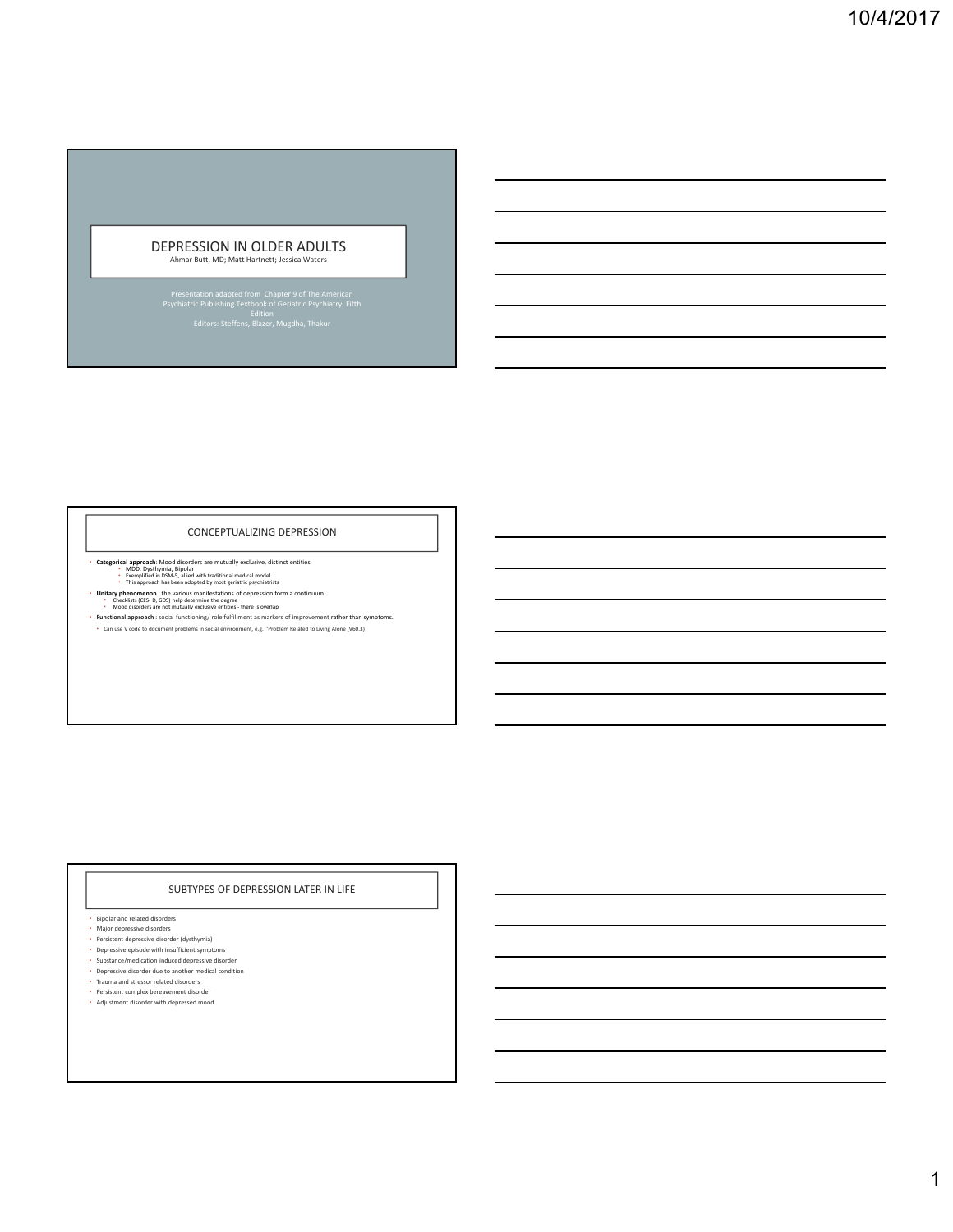## DEPRESSION IN OLDER ADULTS

Ahmar Butt, MD; Matt Hartnett; Jessica Waters

#### CONCEPTUALIZING DEPRESSION

- **Categorical approach**: Mood disorders are mutually exclusive, distinct entities<br>• MDD, Dysthymia, Bipolar<br>• Exemplified in DSM-5, allied with traditional medical model<br>• This approach has been adopted by most geriatric
	-
- **Unitary phenomenon** : the various manifestations of depression form a continuum.<br>• Checklists (CES‐ D, GDS) help determine the degree<br>Mood disorders are not mutually exclusive entities there is overlap<br>• Mood disorder
- 
- **Functional approach** : social functioning/ role fulfillment as markers of improvement rather than symptoms. Can use V code to document problems in social environment, e.g. 'Problem Related to Living Alone (V60.3)

### SUBTYPES OF DEPRESSION LATER IN LIFE

- Bipolar and related disorders
- Major depressive disorders
- 
- Persistent depressive disorder (dysthymia) Depressive episode with insufficient symptoms
- Substance/medication induced depressive disorder Depressive disorder due to another medical condition
- 
- Trauma and stressor related disorders • Persistent complex bereavement disorder
- Adjustment disorder with depressed mood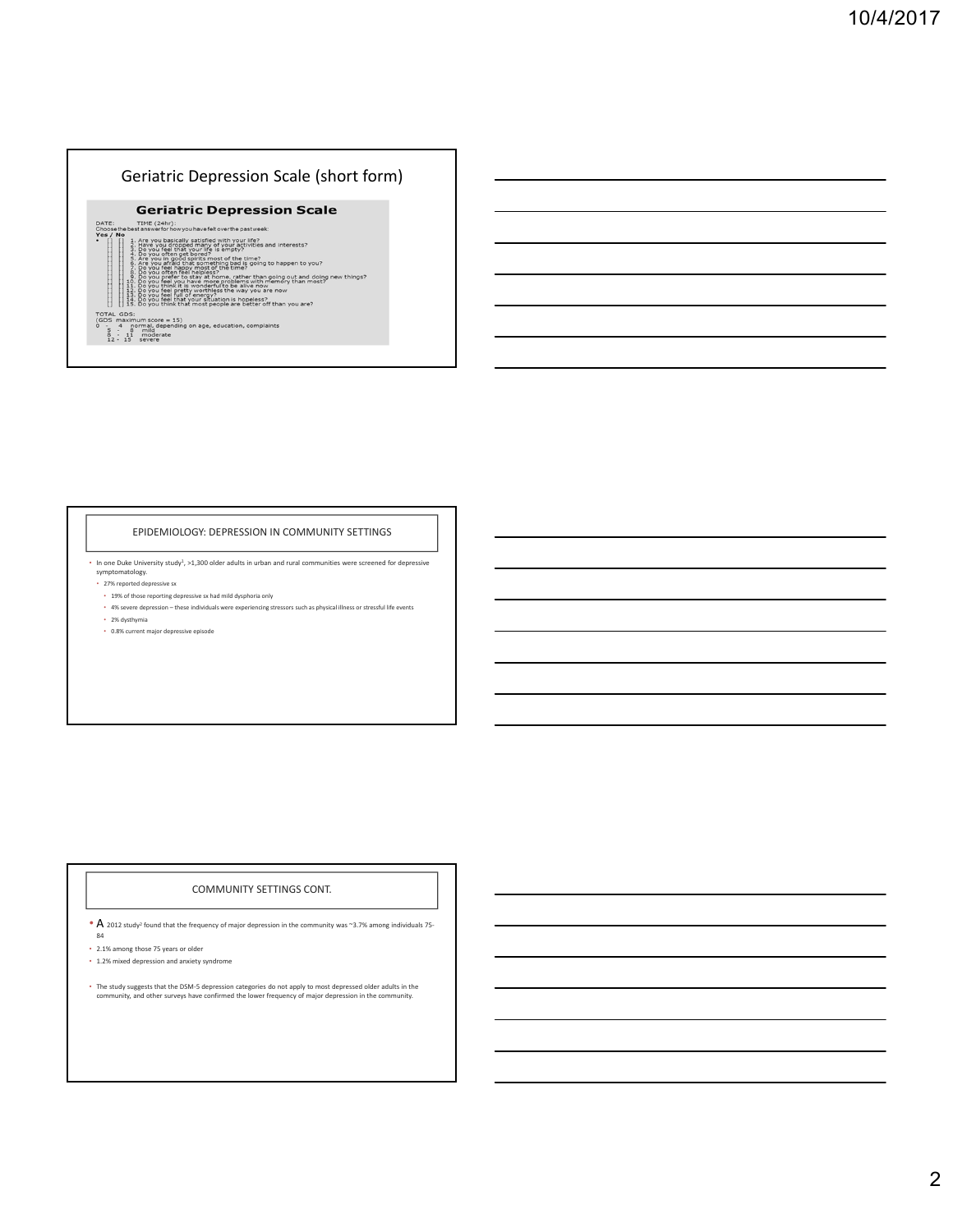

#### EPIDEMIOLOGY: DEPRESSION IN COMMUNITY SETTINGS

• In one Duke University study1, >1,300 older adults in urban and rural communities were screened for depressive symptomatology.

- 27% reported depressive sx
- 19% of those reporting depressive sx had mild dysphoria only • 4% severe depression – these individuals were experiencing stressors such as physical illness or stressful life events
- 2% dysthymia
- 0.8% current major depressive episode

### COMMUNITY SETTINGS CONT.

• A 2012 study<sup>2</sup> found that the frequency of major depression in the community was ~3.7% among individuals 75-

- 84
- 2.1% among those 75 years or older • 1.2% mixed depression and anxiety syndrome
- 
- The study suggests that the DSM‐5 depression categories do not apply to most depressed older adults in the community, and other surveys have confirmed the lower frequency of major depression in the community.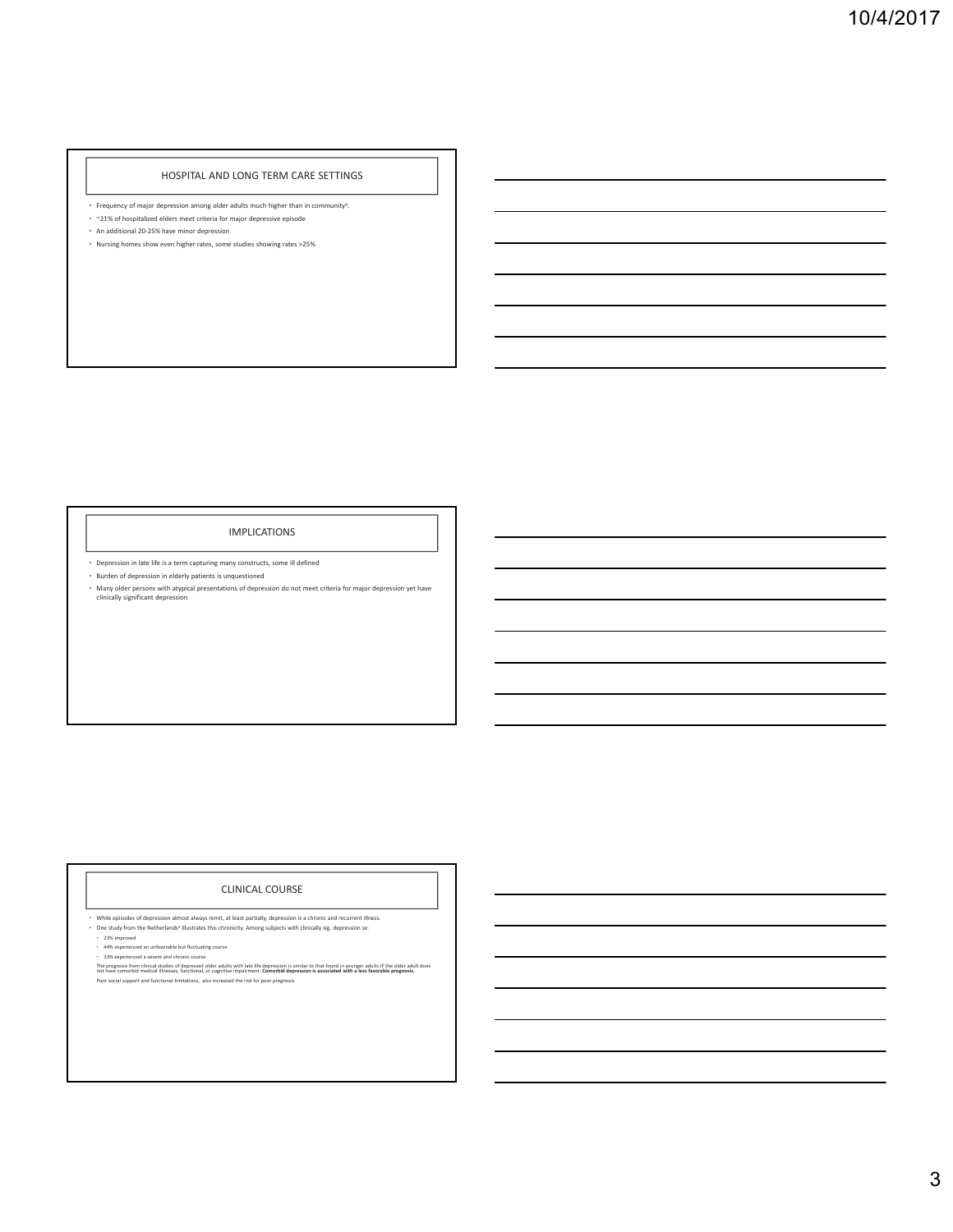#### HOSPITAL AND LONG TERM CARE SETTINGS

- Frequency of major depression among older adults much higher than in community<sup>3</sup>.
- ~21% of hospitalized elders meet criteria for major depressive episode • An additional 20‐25% have minor depression
- Nursing homes show even higher rates, some studies showing rates >25%

#### IMPLICATIONS

• Depression in late life is a term capturing many constructs, some ill defined

• Burden of depression in elderly patients is unquestioned

• Many older persons with atypical presentations of depression do not meet criteria for major depression yet have clinically significant depression

### CLINICAL COURSE

• While episodes of depression almost always remit, at least partially, depression is a chronic and recurrent illness.<br>• One study from the Netherlands<sup>4</sup> illustrates this chronicity. Among subjects with clinically sig. de

• 23% improved • 44% experienced an unfavorable but fluctuating course • 33% experienced a severe and chronic course

The prognosis from clinical studies of depressed older adults with late life depression is similar to that found in younger adults IF the older adult does<br>not have comorbid medical illnesses, functional, or cognitive impai Poor social support and functional limitations, also increased the risk for poor prognosis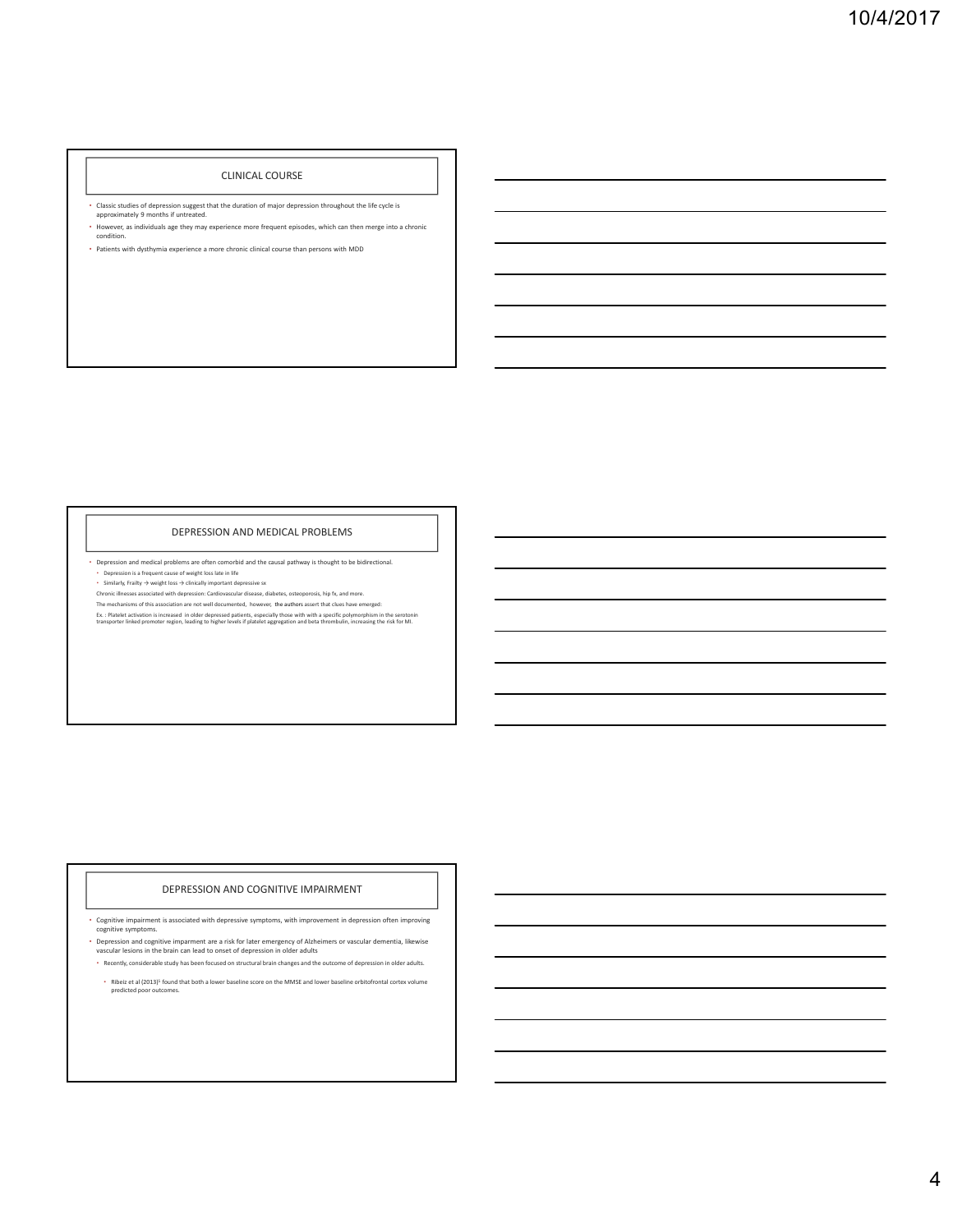#### CLINICAL COURSE

- Classic studies of depression suggest that the duration of major depression throughout the life cycle is approximately 9 months if untreated.
- However, as individuals age they may experience more frequent episodes, which can then merge into a chronic condition.

#### • Patients with dysthymia experience a more chronic clinical course than persons with MDD

#### DEPRESSION AND MEDICAL PROBLEMS

• Depression and medical problems are often comorbid and the causal pathway is thought to be bidirectional.

• Depression is a frequent cause of weight loss late in life • Similarly, Frailty → weight loss → clinically important depressive sx

Chronic illnesses associated with depression: Cardiovascular disease, diabetes, osteoporosis, hip fx, and more.<br>The mechanisms of this association are not well documented, however, the authors assert that clues have emerge

Ex. : Platelet activation is increased in older depressed patients, especially those with with a specific polymorphism in the serotonin<br>transporter linked promoter region, leading to higher levels if platelet aggregation a

### DEPRESSION AND COGNITIVE IMPAIRMENT

• Cognitive impairment is associated with depressive symptoms, with improvement in depression often improving cognitive symptoms.

• Depression and cognitive imparment are a risk for later emergency of Alzheimers or vascular dementia, likewise vascular lesions in the brain can lead to onset of depression in older adults

• Recently, considerable study has been focused on structural brain changes and the outcome of depression in older adults.

• Ribeiz et al (2013)5 found that both a lower baseline score on the MMSE and lower baseline orbitofrontal cortex volume predicted poor outcomes.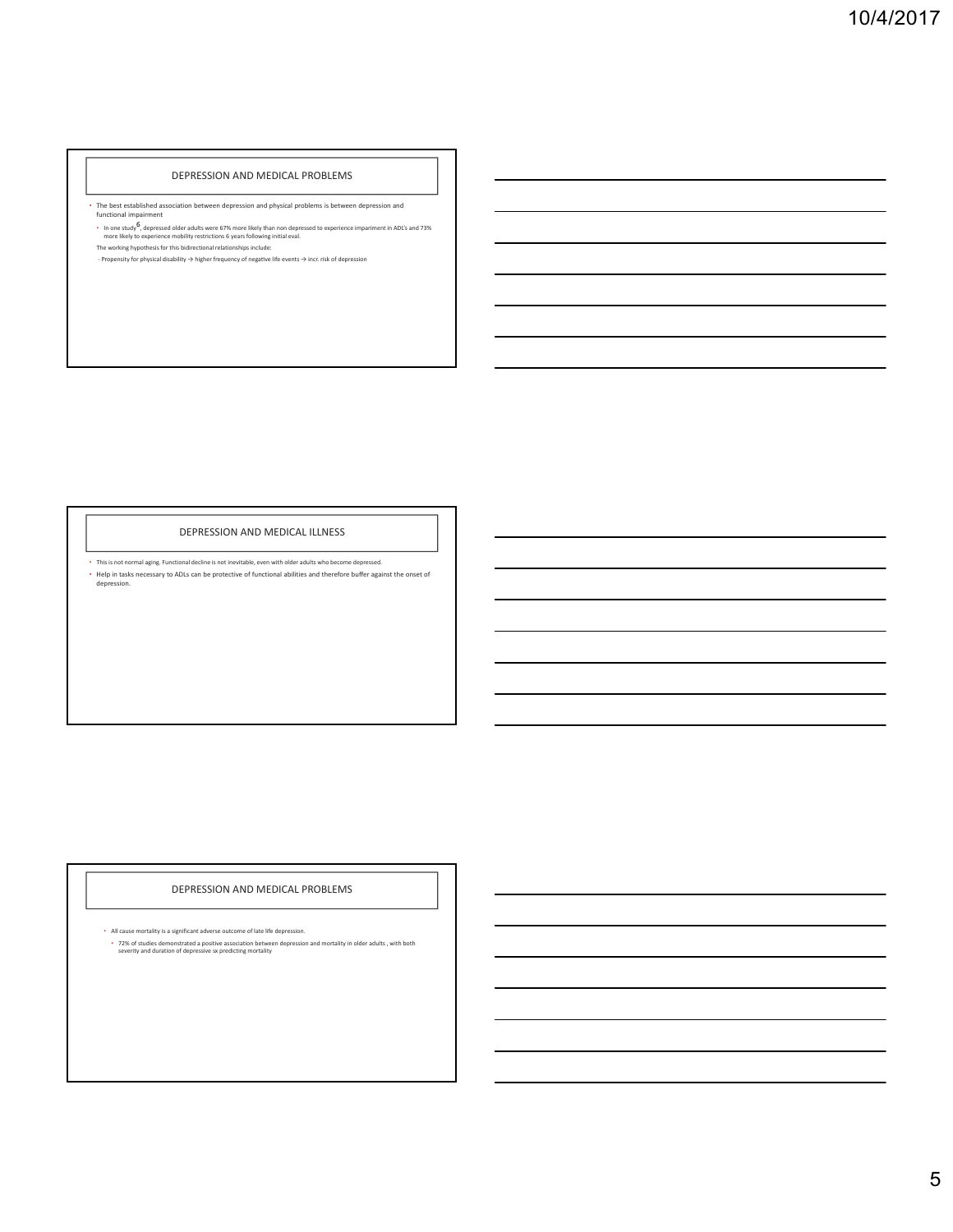#### DEPRESSION AND MEDICAL PROBLEMS

• The best established association between depression and physical problems is between depression and functional impairment

∙ In one study<sup>5</sup>, depressed older adults were 67% more likely than non depressed to experience impariment in ADL's and 73%<br>∣more likely to experience mobility restrictions 6 years following initial eval.<br>The working hypo

‐ Propensity for physical disability → higher frequency of negaƟve life events → incr. risk of depression

#### DEPRESSION AND MEDICAL ILLNESS

• This is not normal aging. Functional decline is not inevitable, even with older adults who become depressed. • Help in tasks necessary to ADLs can be protective of functional abilities and therefore buffer against the onset of depression.

### DEPRESSION AND MEDICAL PROBLEMS

• All cause mortality is a significant adverse outcome of late life depression. • 72% of studies demonstrated a positive association between depression and mortality in older adults , with both severity and duration of depressive sx predicting mortality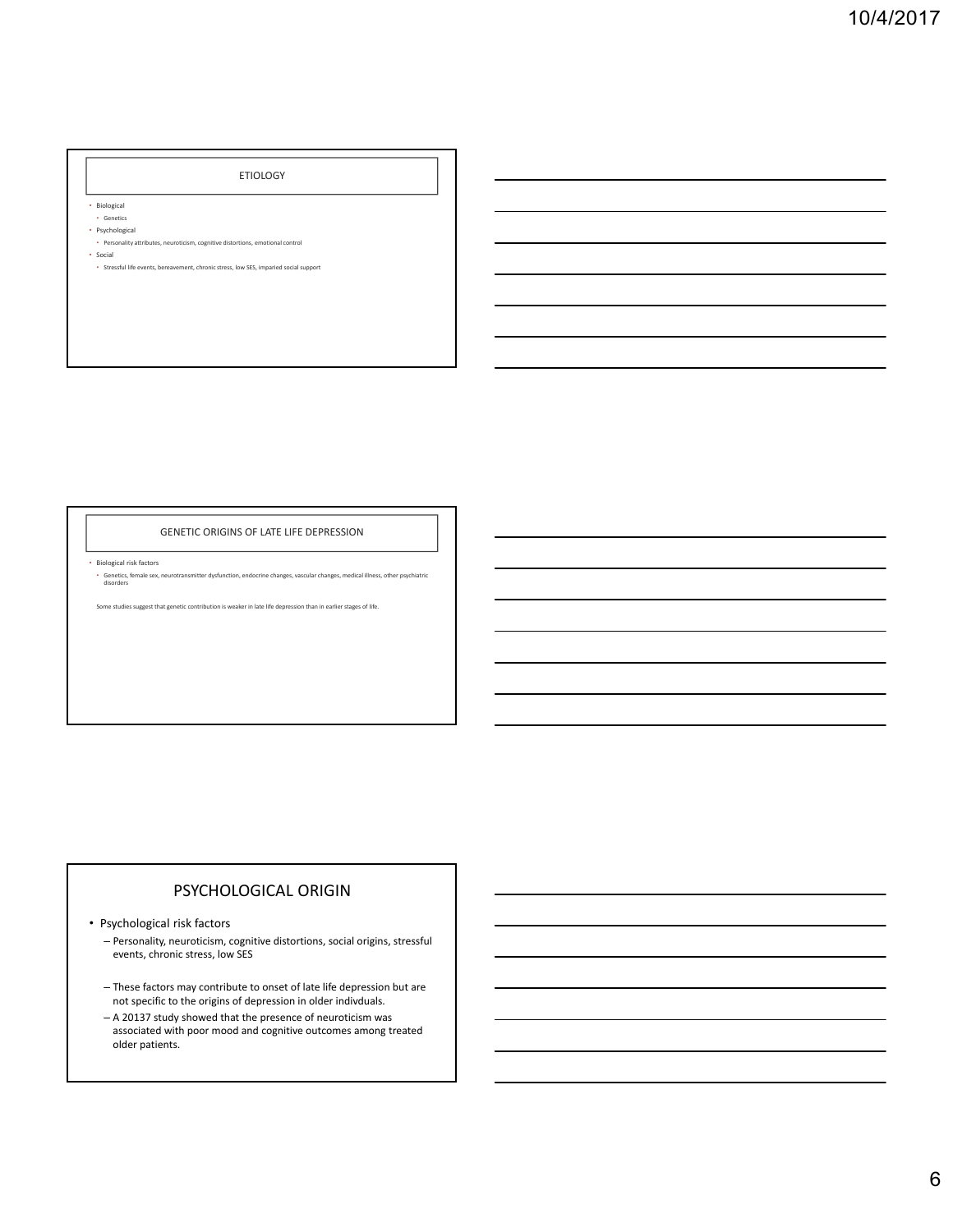#### ETIOLOGY

• Biological

- Genetics
- Psychological

• Personality attributes, neuroticism, cognitive distortions, emotional control • Social

• Stressful life events, bereavement, chronic stress, low SES, imparied social support

### GENETIC ORIGINS OF LATE LIFE DEPRESSION

• Biological risk factors

• Genetics, female sex, neurotransmitter dysfunction, endocrine changes, vascular changes, medical illness, other psychiatric disorders

Some studies suggest that genetic contribution is weaker in late life depression than in earlier stages of life.

## PSYCHOLOGICAL ORIGIN

• Psychological risk factors

– Personality, neuroticism, cognitive distortions, social origins, stressful events, chronic stress, low SES

- These factors may contribute to onset of late life depression but are not specific to the origins of depression in older indivduals.
- A 20137 study showed that the presence of neuroticism was associated with poor mood and cognitive outcomes among treated older patients.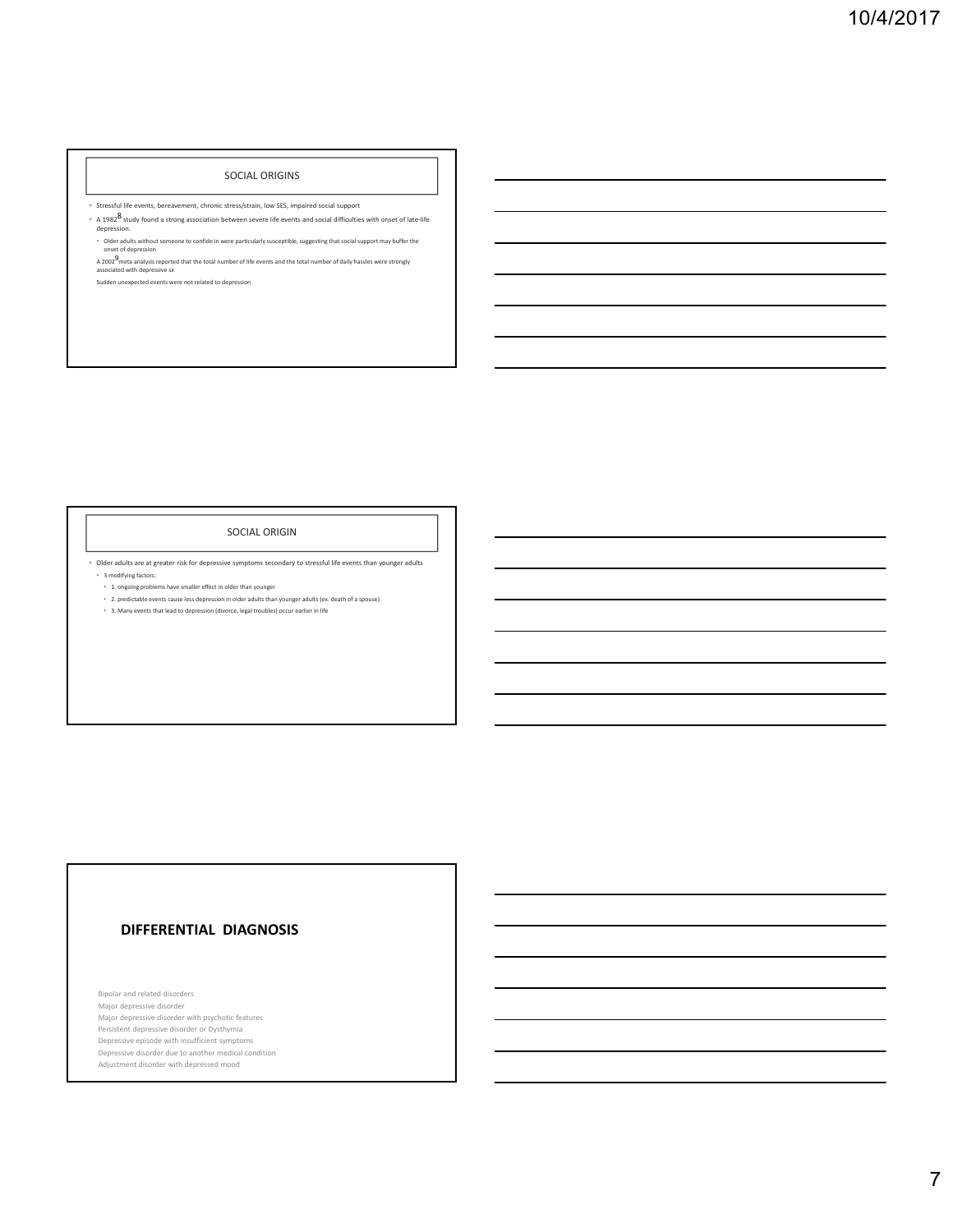#### SOCIAL ORIGINS

• Stressful life events, bereavement, chronic stress/strain, low SES, impaired social support

- A 1982<sup>8</sup> study found a strong association between severe life events and social difficulties with onset of late-life<br>depression.
- Older adults without someone to confide in were particularly susceptible, suggesting that social support may buffer the onset of depression

A 2002<sup>9</sup>meta analysis reported that the total number of life events and the total number of daily hassles were strongly<br>associated with depressive sx Sudden unexpected events were not related to depression

### SOCIAL ORIGIN

• Older adults are at greater risk for depressive symptoms secondary to stressful life events than younger adults • 3 modifying factors:

- 1. ongoing problems have smaller effect in older than younger
- 2. predictable events cause less depression in older adults than younger adults (ex. death of a spouse)
- 3. Many events that lead to depression (divorce, legal troubles) occur earlier in life

### **DIFFERENTIAL DIAGNOSIS**

Bipolar and related disorders Major depressive disorder Major depressive disorder with psychotic features Persistent depressive disorder or Dysthymia Depressive episode with insufficient symptoms Depressive disorder due to another medical condition Adjustment disorder with depressed mood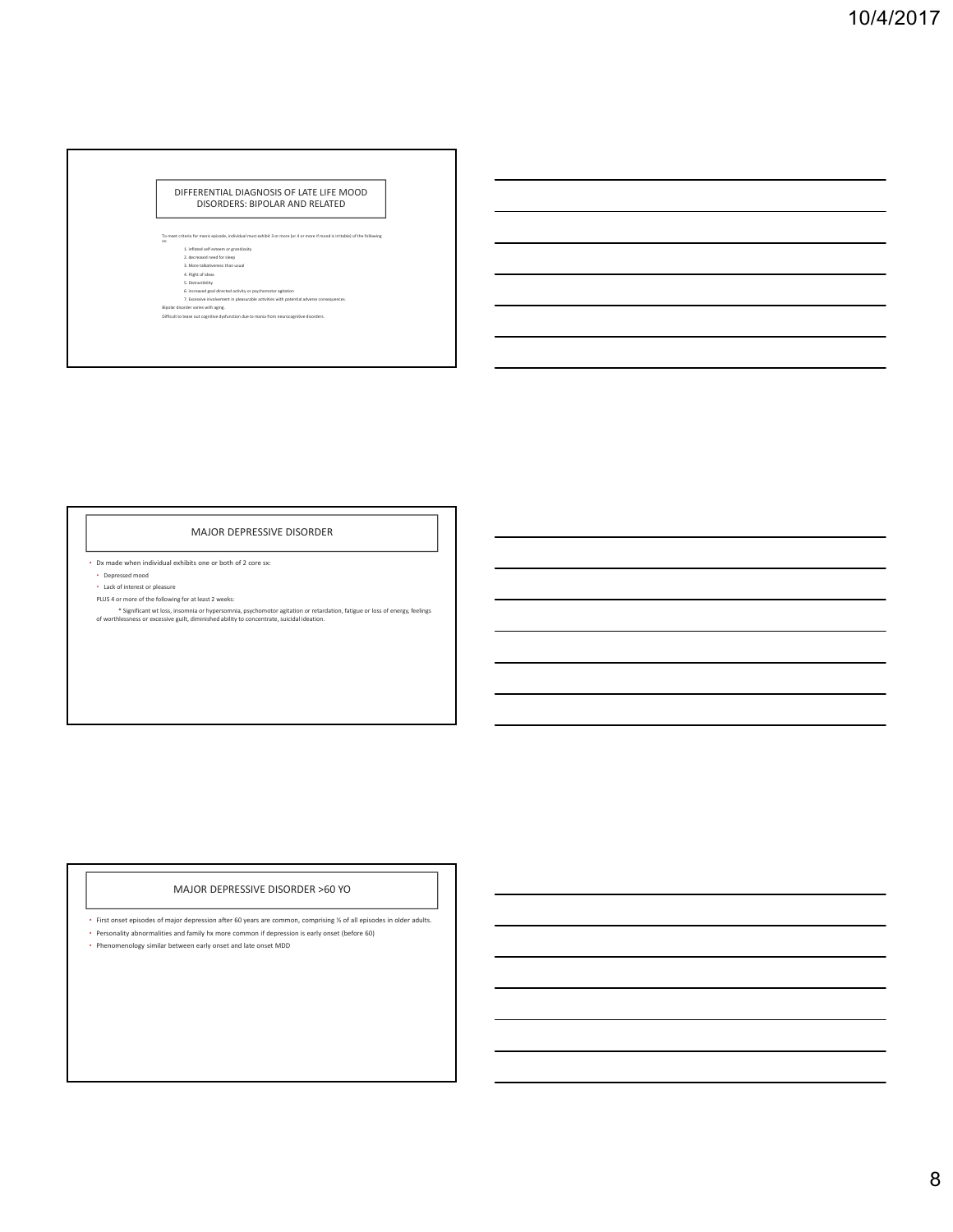#### DIFFERENTIAL DIAGNOSIS OF LATE LIFE MOOD DISORDERS: BIPOLAR AND RELATED

- To need criteria for mainic episode, individual must enhibit 3 or more (or 4 or more if mood is initiable) of the following<br>
1. Instant of estatement or granularity<br>
2. decreased read for skeep<br>
3. More talkniheness than
	-
- 

#### MAJOR DEPRESSIVE DISORDER

- Dx made when individual exhibits one or both of 2 core sx:
- Depressed mood
- Lack of interest or pleasure PLUS 4 or more of the following for at least 2 weeks:
- \* Significant wt loss, insomnia or hypersomnia, psychomotor agitation or retardation, fatigue or loss of energy, feelings of worthlessness or excessive guilt, diminished ability to concentrate, suicidal ideation.

### MAJOR DEPRESSIVE DISORDER >60 YO

- First onset episodes of major depression after 60 years are common, comprising ½ of all episodes in older adults.
- Personality abnormalities and family hx more common if depression is early onset (before 60)
- Phenomenology similar between early onset and late onset MDD
-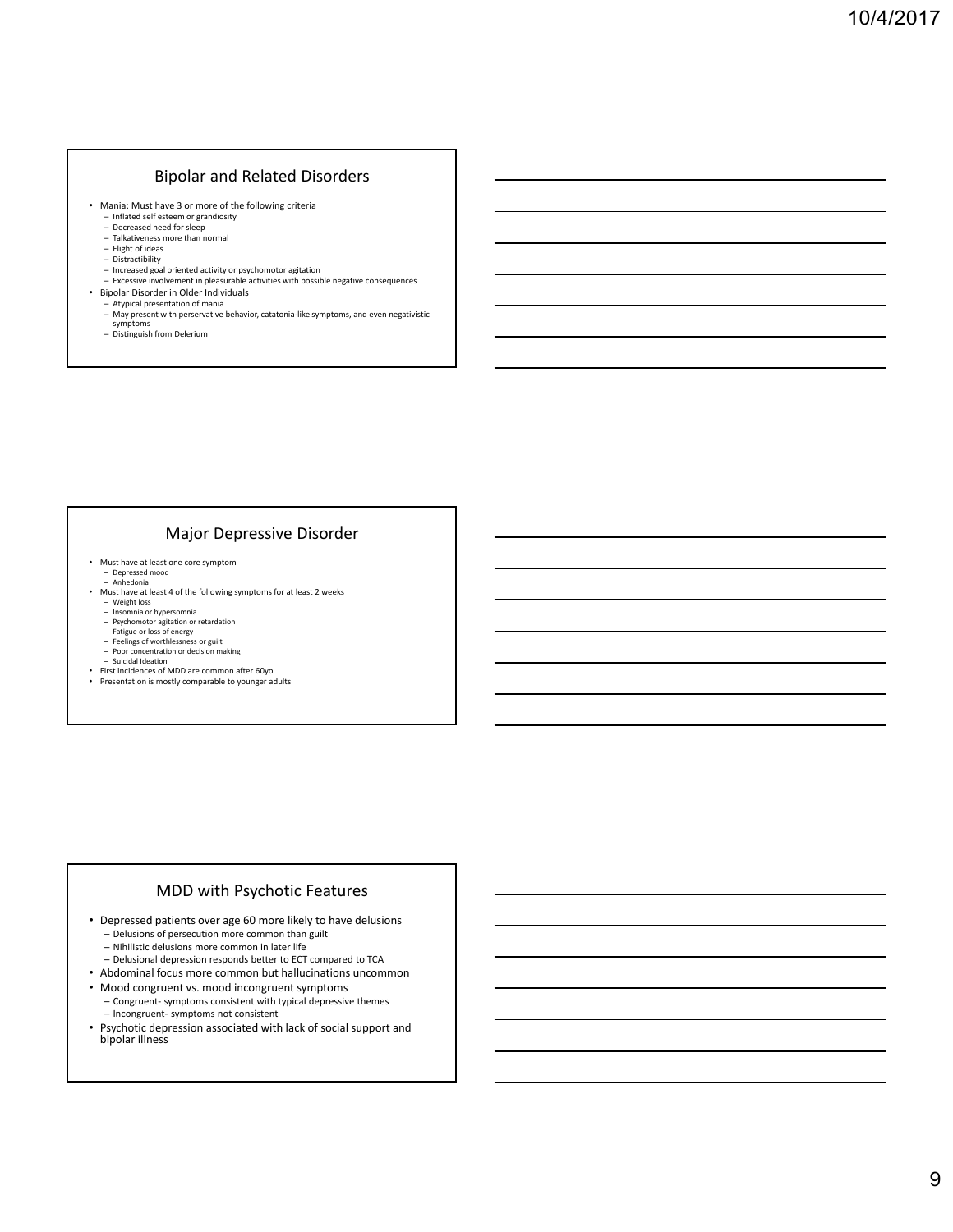### Bipolar and Related Disorders

- Mania: Must have 3 or more of the following criteria
	- Inflated self esteem or grandiosity
	- Decreased need for sleep Talkativeness more than normal
	-
	- Flight of ideas Distractibility
	- Increased goal oriented activity or psychomotor agitation
- Excessive involvement in pleasurable activities with possible negative consequences Bipolar Disorder in Older Individuals
- Atypical presentation of mania
- May present with perservative behavior, catatonia-like symptoms, and even negativistic<br>– symptoms<br>— Distinguish from Delerium
- 

### Major Depressive Disorder

- Must have at least one core symptom
	- Depressed mood Anhedonia
- Must have at least 4 of the following symptoms for at least 2 weeks
	-
	- Weight loss Insomnia or hypersomnia Psychomotor agitation or retardation
	-
	- Fatigue or loss of energy Feelings of worthlessness or guilt Poor concentration or decision making
	-
- Suicidal Ideation First incidences of MDD are common after 60yo
- Presentation is mostly comparable to younger adults

### MDD with Psychotic Features

- Depressed patients over age 60 more likely to have delusions – Delusions of persecution more common than guilt
	- Nihilistic delusions more common in later life
	- Delusional depression responds better to ECT compared to TCA
- Abdominal focus more common but hallucinations uncommon
- 
- Mood congruent vs. mood incongruent symptoms – Congruent‐ symptoms consistent with typical depressive themes
- Incongruent‐ symptoms not consistent
- Psychotic depression associated with lack of social support and bipolar illness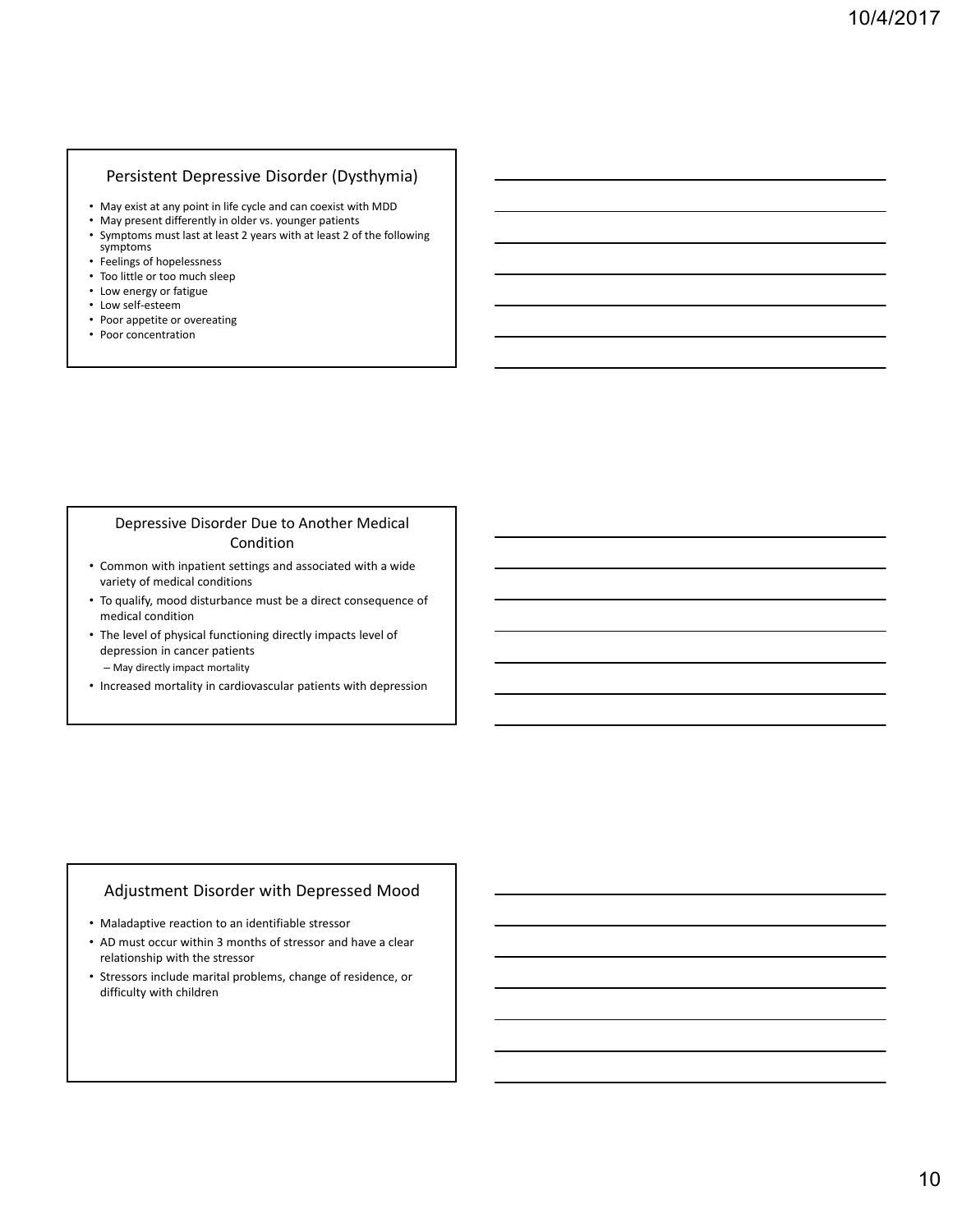### Persistent Depressive Disorder (Dysthymia)

- May exist at any point in life cycle and can coexist with MDD
- May present differently in older vs. younger patients<br>• Symptoms must last at least 2 years with at least 2 of
- Symptoms must last at least 2 years with at least 2 of the following symptoms
- Feelings of hopelessness
- Too little or too much sleep
- Low energy or fatigue
- Low self‐esteem
- Poor appetite or overeating
- Poor concentration

### Depressive Disorder Due to Another Medical Condition

- Common with inpatient settings and associated with a wide variety of medical conditions
- To qualify, mood disturbance must be a direct consequence of medical condition
- The level of physical functioning directly impacts level of depression in cancer patients – May directly impact mortality
- Increased mortality in cardiovascular patients with depression

### Adjustment Disorder with Depressed Mood

- Maladaptive reaction to an identifiable stressor
- AD must occur within 3 months of stressor and have a clear relationship with the stressor
- Stressors include marital problems, change of residence, or difficulty with children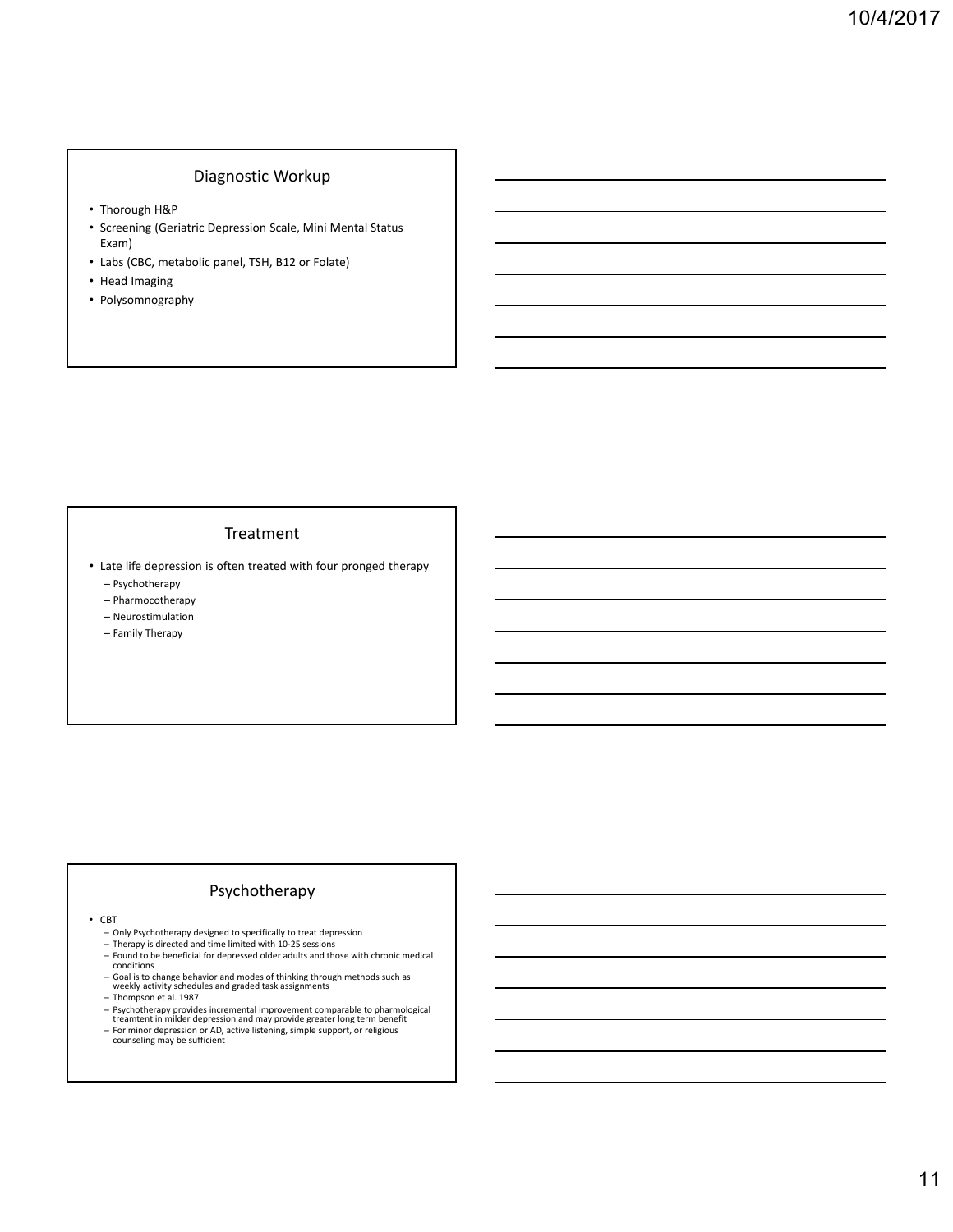### Diagnostic Workup

- Thorough H&P
- Screening (Geriatric Depression Scale, Mini Mental Status Exam)
- Labs (CBC, metabolic panel, TSH, B12 or Folate)
- Head Imaging
- Polysomnography

### Treatment

- Late life depression is often treated with four pronged therapy
	- Psychotherapy
	- Pharmocotherapy
	- Neurostimulation
	- Family Therapy

# Psychotherapy

- CBT
	-
- Only Psychotherapy designed to specifically to treat depression Therapy is directed and time limited with 10‐25 sessions
- Found to be beneficial for depressed older adults and those with chronic medical conditions
- Goal is to change behavior and modes of thinking through methods such as weekly activity schedules and graded task assignments
- Thompson et al. 1987
- Psychotherapy provides incremental improvement comparable to pharmological treamtent in milder depression and may provide greater long term benefit
- For minor depression or AD, active listening, simple support, or religious counseling may be sufficient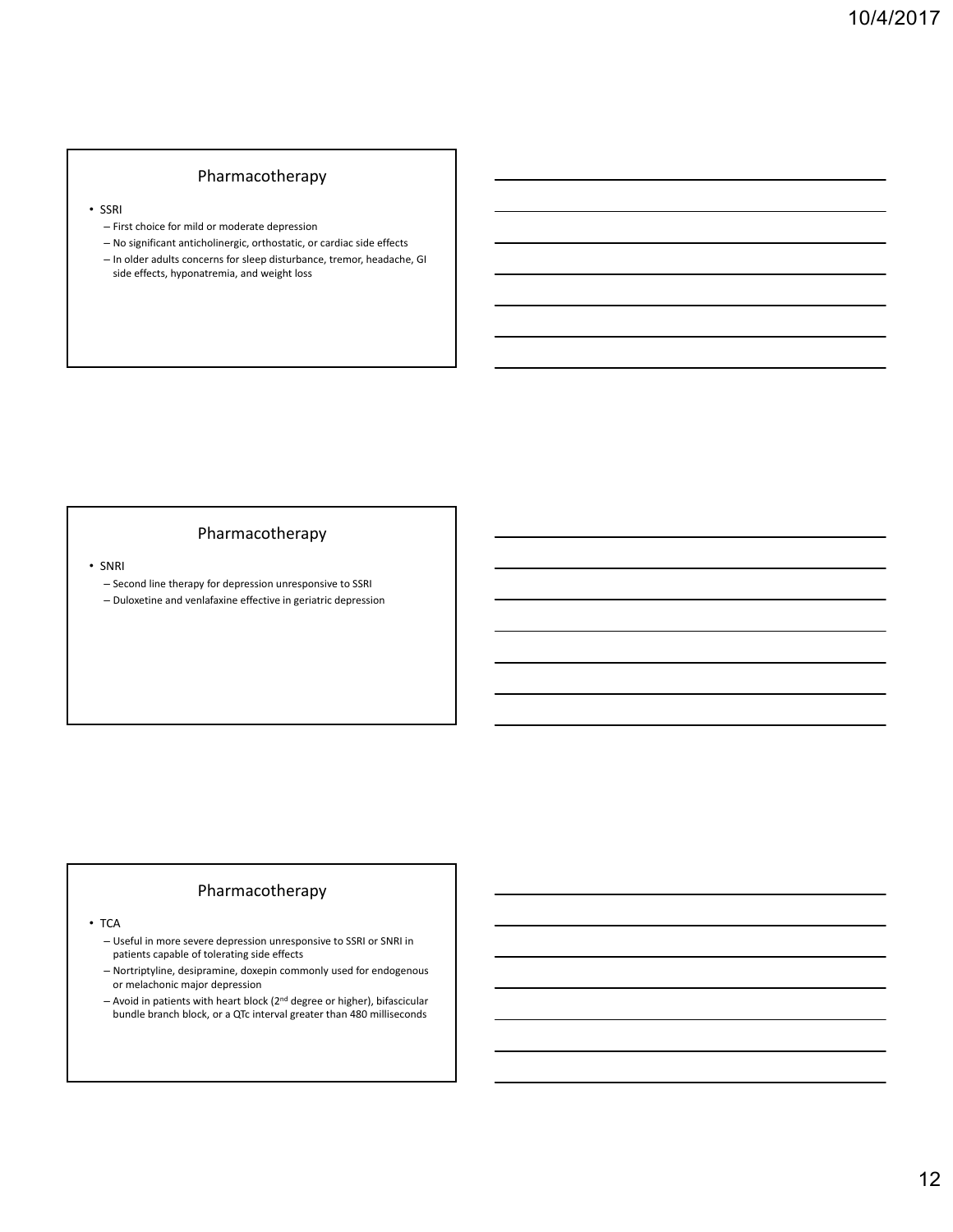### Pharmacotherapy

• SSRI

- First choice for mild or moderate depression
- No significant anticholinergic, orthostatic, or cardiac side effects
- In older adults concerns for sleep disturbance, tremor, headache, GI side effects, hyponatremia, and weight loss

### Pharmacotherapy

• SNRI

- Second line therapy for depression unresponsive to SSRI
- Duloxetine and venlafaxine effective in geriatric depression

## Pharmacotherapy

• TCA

– Useful in more severe depression unresponsive to SSRI or SNRI in patients capable of tolerating side effects

- Nortriptyline, desipramine, doxepin commonly used for endogenous or melachonic major depression
- $-$  Avoid in patients with heart block (2<sup>nd</sup> degree or higher), bifascicular bundle branch block, or a QTc interval greater than 480 milliseconds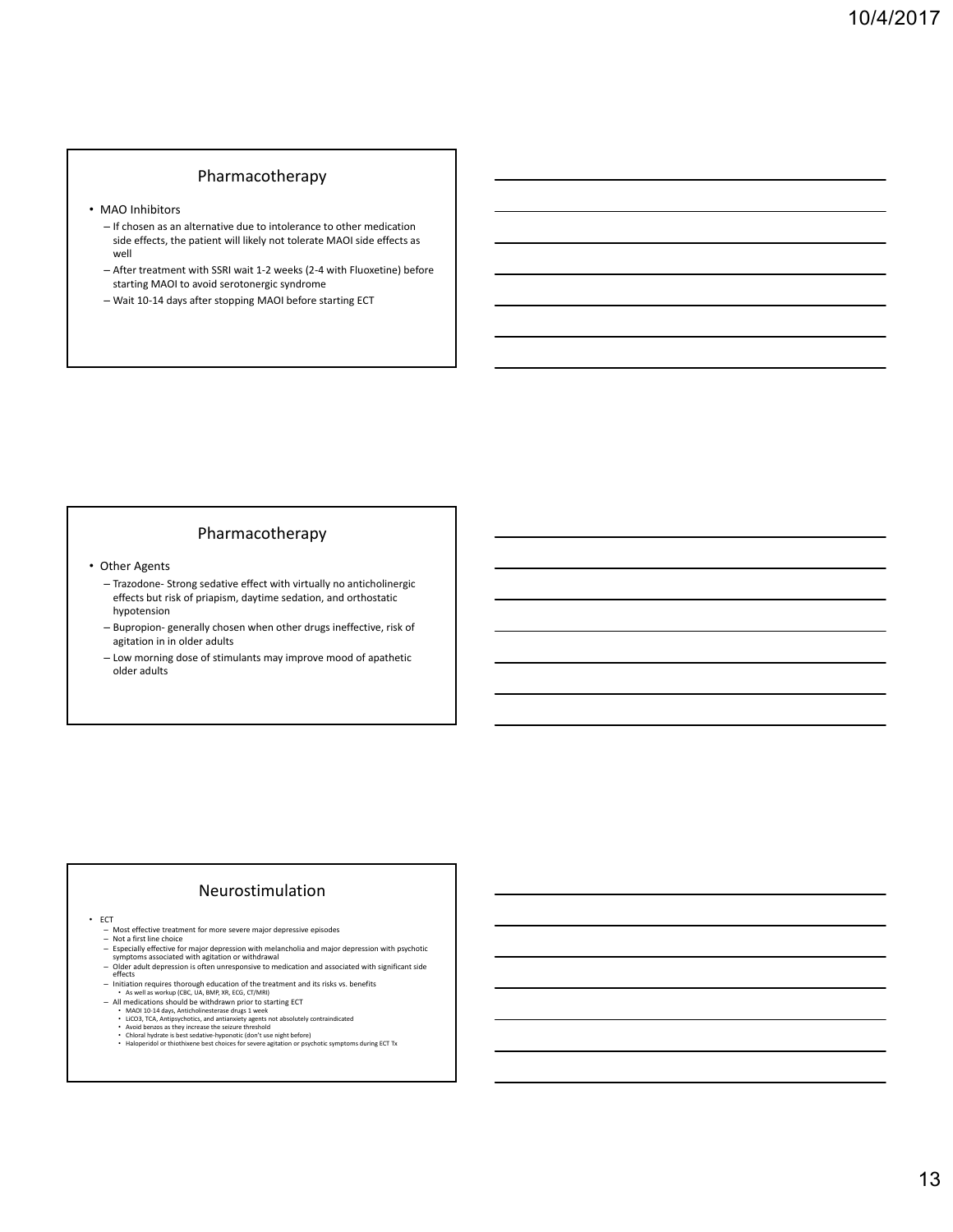### Pharmacotherapy

- MAO Inhibitors
	- If chosen as an alternative due to intolerance to other medication side effects, the patient will likely not tolerate MAOI side effects as well
	- After treatment with SSRI wait 1‐2 weeks (2‐4 with Fluoxetine) before starting MAOI to avoid serotonergic syndrome
	- Wait 10‐14 days after stopping MAOI before starting ECT

### Pharmacotherapy

- Other Agents
	- Trazodone‐ Strong sedative effect with virtually no anticholinergic effects but risk of priapism, daytime sedation, and orthostatic hypotension
	- Bupropion‐ generally chosen when other drugs ineffective, risk of agitation in in older adults
	- Low morning dose of stimulants may improve mood of apathetic older adults

## Neurostimulation

- ECT
	- Most effective treatment for more severe major depressive episodes<br>— Not a first line choice<br>— Especially effective for major depression with melancholia and major depression with psychotic<br>— symptoms associated with agi
	-
	-
	- Older adult depression is often unresponsive to medication and associated with significant side effects
	-
	-
	-
	-
	-
	- Initiation requires thorough education of the treatment and its risks vs. benefits<br>
	 As well as workup (CBC, UA, BMP, XR, ECG, CT/MRI)<br>
	 All medications should be withdrawn prior to starting ECT<br>
	 MAOI 10-14 days, Ant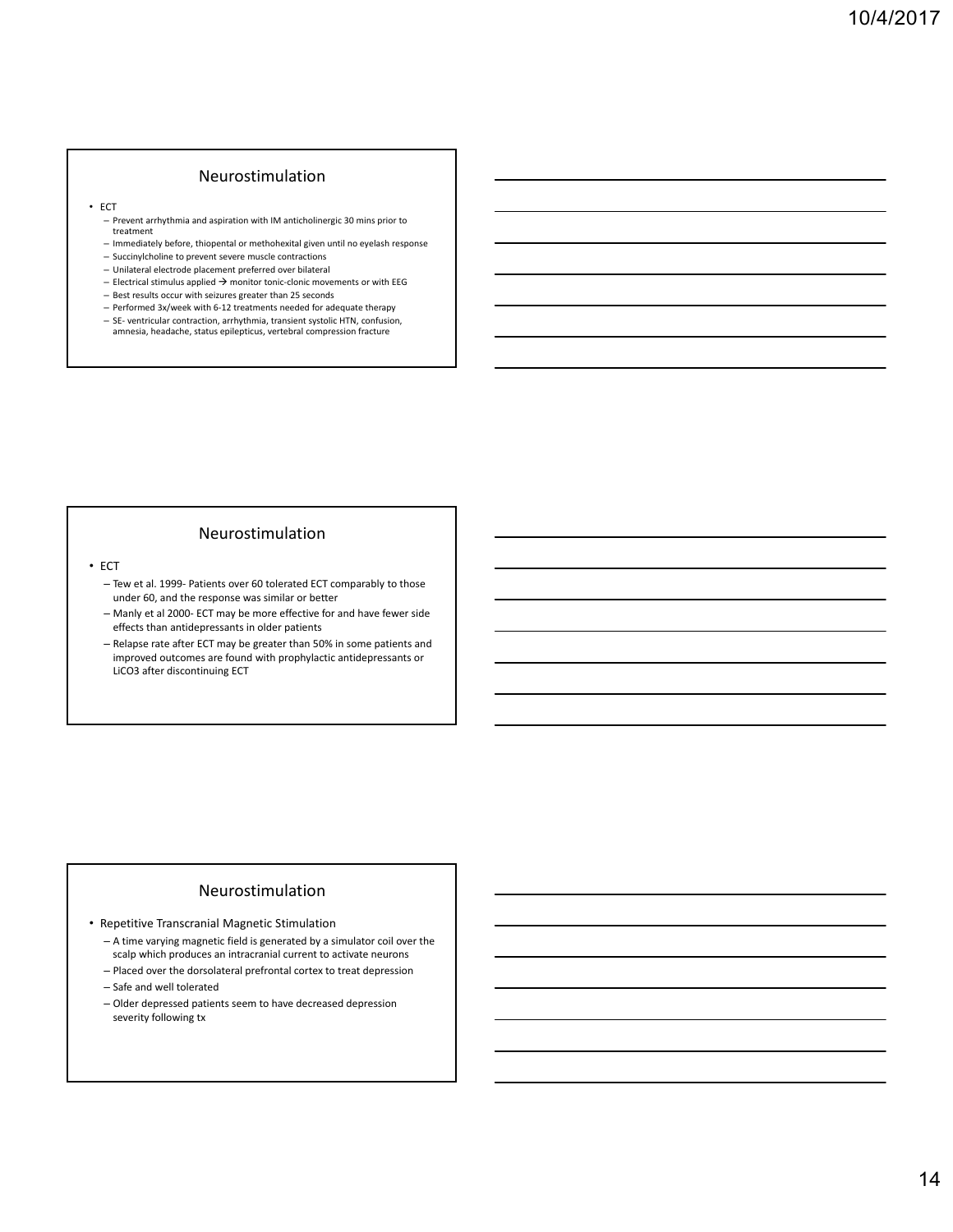### Neurostimulation

- ECT
	- Prevent arrhythmia and aspiration with IM anticholinergic 30 mins prior to treatment
	- Immediately before, thiopental or methohexital given until no eyelash response
	- Succinylcholine to prevent severe muscle contractions
	- Unilateral electrode placement preferred over bilateral
	- Electrical stimulus applied  $\rightarrow$  monitor tonic-clonic movements or with EEG
	- Best results occur with seizures greater than 25 seconds – Performed 3x/week with 6‐12 treatments needed for adequate therapy
	- SE‐ ventricular contraction, arrhythmia, transient systolic HTN, confusion, amnesia, headache, status epilepticus, vertebral compression fracture

### Neurostimulation

- ECT
	- Tew et al. 1999‐ Patients over 60 tolerated ECT comparably to those under 60, and the response was similar or better
	- Manly et al 2000‐ ECT may be more effective for and have fewer side effects than antidepressants in older patients
	- Relapse rate after ECT may be greater than 50% in some patients and improved outcomes are found with prophylactic antidepressants or LiCO3 after discontinuing ECT

### Neurostimulation

- Repetitive Transcranial Magnetic Stimulation
	- A time varying magnetic field is generated by a simulator coil over the scalp which produces an intracranial current to activate neurons
	- Placed over the dorsolateral prefrontal cortex to treat depression
	- Safe and well tolerated
	- Older depressed patients seem to have decreased depression severity following tx